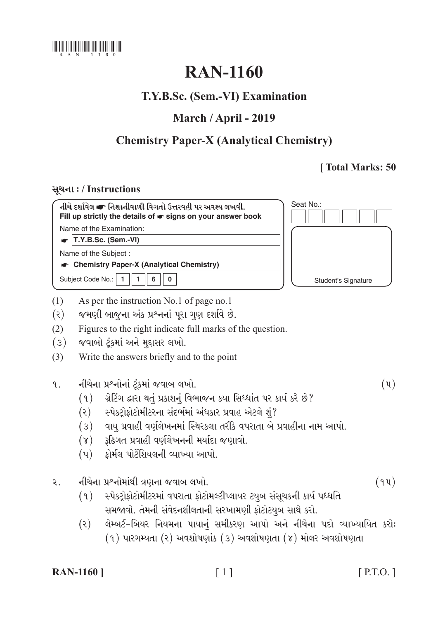

# **RAN-1160**

## T.Y.B.Sc. (Sem.-VI) Examination

## March / April - 2019

# **Chemistry Paper-X (Analytical Chemistry)**

## [Total Marks: 50

### સચના: / Instructions

| નીચે દર્શાવેલ σ નિશાનીવાળી વિગતો ઉત્તરવહી પર અવશ્ય લખવી.<br>Fill up strictly the details of $\bullet$ signs on your answer book | Seat No.:           |
|---------------------------------------------------------------------------------------------------------------------------------|---------------------|
| Name of the Examination:                                                                                                        |                     |
| $\vert$ T.Y.B.Sc. (Sem.-VI)                                                                                                     |                     |
| Name of the Subject:                                                                                                            |                     |
| <b>Chemistry Paper-X (Analytical Chemistry)</b>                                                                                 |                     |
| Subject Code No.:<br>6                                                                                                          | Student's Signature |

- $(1)$ As per the instruction No.1 of page no.1
- $(\mathcal{E})$ જમણી બાજુના અંક પ્રશ્નનાં પૂરા ગુણ દર્શાવે છે.
- Figures to the right indicate full marks of the question.  $(2)$
- $(3)$ જવાબો ટૂંકમાં અને મુદ્દાસર લખો.
- Write the answers briefly and to the point  $(3)$
- નીચેના પ્રશ્નોનાં ટુંકમાં જવાબ લખો.  $9.1$ 
	- ગ્રેટિંગ દ્વારા થતું પ્રકાશનું વિભાજન કયા સિધ્ધાંત પર કાર્ય કરે છે?  $(9)$
	- સ્પેક્ટ્રોફોટોમીટરના સંદર્ભમાં અંધકાર પ્રવાહ એટલે શું?  $(\mathcal{E})$
	- વાયુ પ્રવાહી વર્ણલેખનમાં સ્થિરકલા તરીકે વપરાતા બે પ્રવાહીના નામ આપો.  $(3)$
	- રૂઢિગત પ્રવાહી વર્ણલેખનની મર્યાદા જણાવો.  $(\lambda)$
	- કોર્મલ પોર્ટેશિયલની વ્યાખ્યા આપો.  $(\mathfrak{y})$
- નીચેના પ્રશ્નોમાંથી ત્રણના જવાબ લખો.  $\mathcal{L}$ .
	- $(9)$ સ્પેક્ટોફોટોમીટરમાં વપરાતા ફોટોમલ્ટીપ્લાયર ટયુબ સંસુચકની કાર્ય પધ્ધતિ સમજાવો. તેમની સંવેદનશીલતાની સરખામણી ફોટોટયૂબ સાથે કરો.
	- લેમ્બર્ટ-બિયર નિયમના પાયાનું સમીકરણ આપો અને નીચેના પદો વ્યાખ્યાયિત કરોઃ  $(\mathcal{E})$  $(9)$  પારગમ્યતા  $(8)$  અવશોષણાંક  $(3)$  અવશોષણતા  $(8)$  મોલર અવશોષણતા

**RAN-1160** ]

 $(\mathfrak{y})$ 

 $(94)$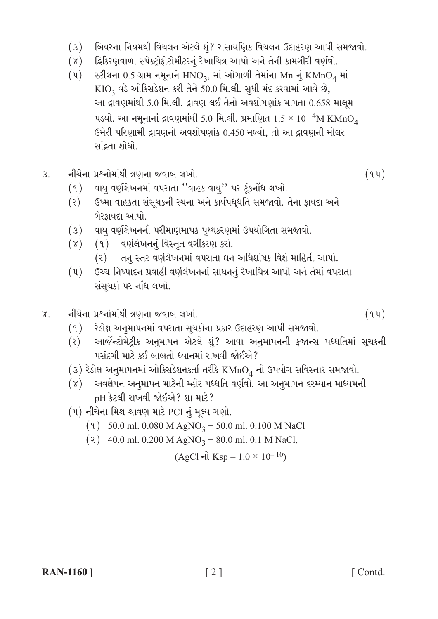- $(3)$ બિયરના નિયમથી વિચલન એટલે શું? રાસાયણિક વિચલન ઉદાહરણ આપી સમજાવો.
- દ્વિકિરણવાળા સ્પેકટ્રોફોટોમીટરનું રેખાચિત્ર આપો અને તેની કામગીરી વર્ણવો.  $(\lambda)$
- $(\mathfrak{y})$ સ્ટીલના 0.5 ગ્રામ નમૂનાને  $HNO_3$ , માં ઓગાળી તેમાંના Mn નું KMn $O_4$  માં  $KIO<sub>2</sub>$  વડે ઓકિસડેશન કરી તેને 50.0 મિ.લી. સુધી મંદ કરવામાં આવે છે, આ દ્રાવણમાંથી 5.0 મિ.લી. દ્રાવણ લઈ તેનો અવશોષણાંક માપતા 0.658 માલૂમ પડયો. આ નમૂનાનાં દ્રાવણમાંથી 5.0 મિ.લી. પ્રમાણિત  $1.5 \times 10^{-4}$ M KMnO $_4$ ઉમેરી પરિણામી દ્રાવણનો અવશોષણાંક 0.450 મળ્યો. તો આ દ્રાવણની મોલર સાંદ્રતા શોધો.
- નીચેના પ્રશ્નોમાંથી ત્રણના જવાબ લખો.  $\overline{3}$ 
	- વાય વર્ણલેખનમાં વપરાતા "વાહક વાયુ'' પર ટૂંકનોંધ લખો.  $(9)$
	- ઉષ્મા વાહકતા સંસૂચકની રચના અને કાર્યપધ્ધતિ સમજાવો. તેના ફાયદા અને  $(\mathfrak{z})$ ગેરકાયદા આપો.
	- $(3)$ વાય વર્ણલેખનની પરીમાણમાપક પૃથ્થકરણમાં ઉપયોગિતા સમજાવો.
	- (१) वर्णुलेजननुं विस्तृत वर्गी उपाृ स्रो.  $(\lambda)$ 
		- $(\mathcal{E})$ તનુ સ્તર વર્ણલેખનમાં વપરાતા ઘન અધિશોષક વિશે માહિતી આપો.
	- $(\mathfrak{u})$ ઉચ્ચ નિષ્પાદન પ્રવાહી વર્ણલેખનનાં સાધનનું રેખાચિત્ર આપો અને તેમાં વપરાતા સંસુચકો પર નોંધ લખો.
- નીચેના પ્રશ્નોમાંથી ત્રણના જવાબ લખો.  $\chi$ .
	- $(9)$ રેડોક્ષ અનુમાપનમાં વપરાતા સૂચકોના પ્રકાર ઉદાહરણ આપી સમજાવો.
	- $(5)$ આર્જેન્ટોમેટ્રીક અનુમાપન એટલે શું? આવા અનુમાપનની ફજાન્સ પધ્ધતિમાં સૂચકની પસંદગી માટે કઈ બાબતો ધ્યાનમાં રાખવી જોઈએ?
	- $(3)$  રેડોક્ષ અનુમાપનમાં ઓકિસડેશનકર્તા તરીકે KMnO<sub>4</sub> નો ઉપયોગ સવિસ્તાર સમજાવો.
	- અવક્ષેપન અનુમાપન માટેની મ્હોર પધ્ધતિ વર્ણવો. આ અનુમાપન દરમ્યાન માધ્યમની  $(\lambda)$ pH કેટલી રાખવી જોઇએ? શા માટે?
	- (૫) નીચેના મિશ્ર શ્રાવણ માટે PCI નું મૂલ્ય ગણો.
		- $(9)$  50.0 ml. 0.080 M AgNO<sub>3</sub> + 50.0 ml. 0.100 M NaCl
		- (2) 40.0 ml. 0.200 M AgNO<sub>3</sub> + 80.0 ml. 0.1 M NaCl,

$$
(AgCl \text{ el } Ksp = 1.0 \times 10^{-10})
$$

 $(94)$ 

 $(94)$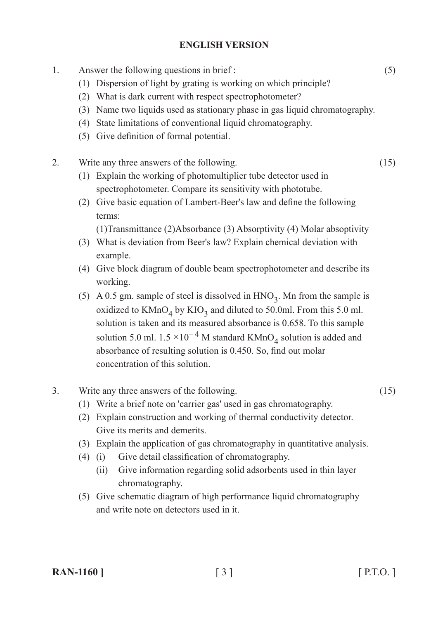#### **ENGLISH VERSION**

1. Answer the following questions in brief : (5) (1) Dispersion of light by grating is working on which principle? (2) What is dark current with respect spectrophotometer? (3) Name two liquids used as stationary phase in gas liquid chromatography. (4) State limitations of conventional liquid chromatography. (5) Give definition of formal potential. 2. Write any three answers of the following.  $(15)$ (1) Explain the working of photomultiplier tube detector used in spectrophotometer. Compare its sensitivity with phototube. (2) Give basic equation of Lambert-Beer's law and define the following terms:

 (1)Transmittance (2)Absorbance (3) Absorptivity (4) Molar absoptivity

- (3) What is deviation from Beer's law? Explain chemical deviation with example.
- (4) Give block diagram of double beam spectrophotometer and describe its working.
- (5) A 0.5 gm. sample of steel is dissolved in  $HNO<sub>3</sub>$ . Mn from the sample is oxidized to  $KMnO<sub>4</sub>$  by  $KIO<sub>3</sub>$  and diluted to 50.0ml. From this 5.0 ml. solution is taken and its measured absorbance is 0.658. To this sample solution 5.0 ml.  $1.5 \times 10^{-4}$  M standard KMnO<sub>4</sub> solution is added and absorbance of resulting solution is 0.450. So, find out molar concentration of this solution.

#### 3. Write any three answers of the following.  $(15)$

- (1) Write a brief note on 'carrier gas' used in gas chromatography.
- (2) Explain construction and working of thermal conductivity detector. Give its merits and demerits.
- (3) Explain the application of gas chromatography in quantitative analysis.
- (4) (i) Give detail classification of chromatography.
	- (ii) Give information regarding solid adsorbents used in thin layer chromatography.
- (5) Give schematic diagram of high performance liquid chromatography and write note on detectors used in it.